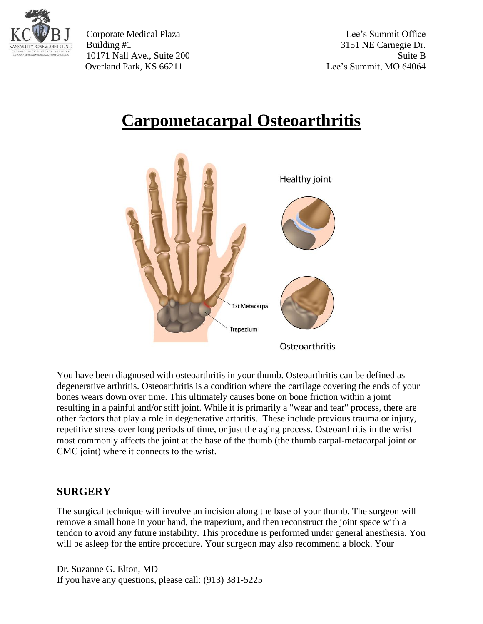

Corporate Medical Plaza Lee's Summit Office Building #1 3151 NE Carnegie Dr. 10171 Nall Ave., Suite 200 Suite B Overland Park, KS 66211 Lee's Summit, MO 64064

## **Carpometacarpal Osteoarthritis**



You have been diagnosed with osteoarthritis in your thumb. Osteoarthritis can be defined as degenerative arthritis. Osteoarthritis is a condition where the cartilage covering the ends of your bones wears down over time. This ultimately causes bone on bone friction within a joint resulting in a painful and/or stiff joint. While it is primarily a "wear and tear" process, there are other factors that play a role in degenerative arthritis. These include previous trauma or injury, repetitive stress over long periods of time, or just the aging process. Osteoarthritis in the wrist most commonly affects the joint at the base of the thumb (the thumb carpal-metacarpal joint or CMC joint) where it connects to the wrist.

## **SURGERY**

The surgical technique will involve an incision along the base of your thumb. The surgeon will remove a small bone in your hand, the trapezium, and then reconstruct the joint space with a tendon to avoid any future instability. This procedure is performed under general anesthesia. You will be asleep for the entire procedure. Your surgeon may also recommend a block. Your

Dr. Suzanne G. Elton, MD If you have any questions, please call: (913) 381-5225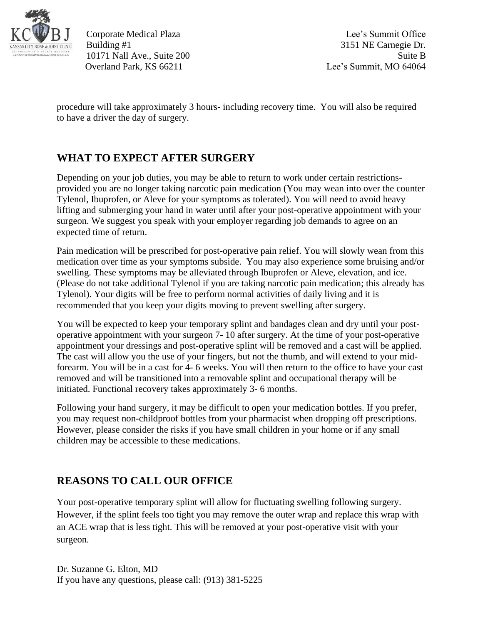

Corporate Medical Plaza Lee's Summit Office Building #1 3151 NE Carnegie Dr. 10171 Nall Ave., Suite 200 Suite B Overland Park, KS 66211 Lee's Summit, MO 64064

procedure will take approximately 3 hours- including recovery time. You will also be required to have a driver the day of surgery.

## **WHAT TO EXPECT AFTER SURGERY**

Depending on your job duties, you may be able to return to work under certain restrictionsprovided you are no longer taking narcotic pain medication (You may wean into over the counter Tylenol, Ibuprofen, or Aleve for your symptoms as tolerated). You will need to avoid heavy lifting and submerging your hand in water until after your post-operative appointment with your surgeon. We suggest you speak with your employer regarding job demands to agree on an expected time of return.

Pain medication will be prescribed for post-operative pain relief. You will slowly wean from this medication over time as your symptoms subside. You may also experience some bruising and/or swelling. These symptoms may be alleviated through Ibuprofen or Aleve, elevation, and ice. (Please do not take additional Tylenol if you are taking narcotic pain medication; this already has Tylenol). Your digits will be free to perform normal activities of daily living and it is recommended that you keep your digits moving to prevent swelling after surgery.

You will be expected to keep your temporary splint and bandages clean and dry until your postoperative appointment with your surgeon 7- 10 after surgery. At the time of your post-operative appointment your dressings and post-operative splint will be removed and a cast will be applied. The cast will allow you the use of your fingers, but not the thumb, and will extend to your midforearm. You will be in a cast for 4- 6 weeks. You will then return to the office to have your cast removed and will be transitioned into a removable splint and occupational therapy will be initiated. Functional recovery takes approximately 3- 6 months.

Following your hand surgery, it may be difficult to open your medication bottles. If you prefer, you may request non-childproof bottles from your pharmacist when dropping off prescriptions. However, please consider the risks if you have small children in your home or if any small children may be accessible to these medications.

## **REASONS TO CALL OUR OFFICE**

Your post-operative temporary splint will allow for fluctuating swelling following surgery. However, if the splint feels too tight you may remove the outer wrap and replace this wrap with an ACE wrap that is less tight. This will be removed at your post-operative visit with your surgeon.

Dr. Suzanne G. Elton, MD If you have any questions, please call: (913) 381-5225